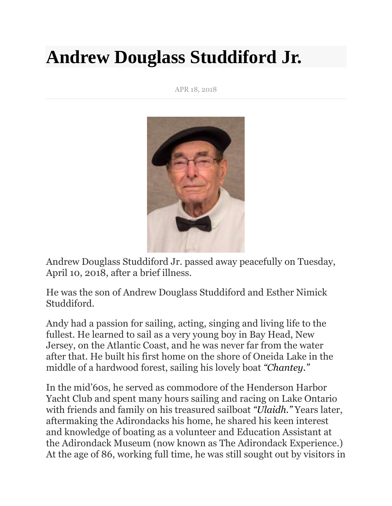## **Andrew Douglass Studdiford Jr.**

APR 18, 2018



Andrew Douglass Studdiford Jr. passed away peacefully on Tuesday, April 10, 2018, after a brief illness.

He was the son of Andrew Douglass Studdiford and Esther Nimick Studdiford.

Andy had a passion for sailing, acting, singing and living life to the fullest. He learned to sail as a very young boy in Bay Head, New Jersey, on the Atlantic Coast, and he was never far from the water after that. He built his first home on the shore of Oneida Lake in the middle of a hardwood forest, sailing his lovely boat *"Chantey."*

In the mid'60s, he served as commodore of the Henderson Harbor Yacht Club and spent many hours sailing and racing on Lake Ontario with friends and family on his treasured sailboat *"Ulaidh."* Years later, aftermaking the Adirondacks his home, he shared his keen interest and knowledge of boating as a volunteer and Education Assistant at the Adirondack Museum (now known as The Adirondack Experience.) At the age of 86, working full time, he was still sought out by visitors in